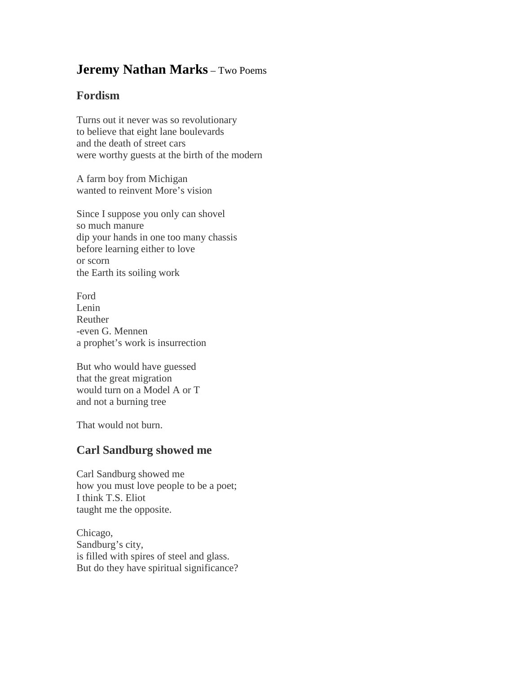## **Jeremy Nathan Marks** – Two Poems

## **Fordism**

Turns out it never was so revolutionary to believe that eight lane boulevards and the death of street cars were worthy guests at the birth of the modern

A farm boy from Michigan wanted to reinvent More's vision

Since I suppose you only can shovel so much manure dip your hands in one too many chassis before learning either to love or scorn the Earth its soiling work

Ford Lenin Reuther -even G. Mennen a prophet's work is insurrection

But who would have guessed that the great migration would turn on a Model A or T and not a burning tree

That would not burn.

## **Carl Sandburg showed me**

Carl Sandburg showed me how you must love people to be a poet; I think T.S. Eliot taught me the opposite.

Chicago, Sandburg's city, is filled with spires of steel and glass. But do they have spiritual significance?